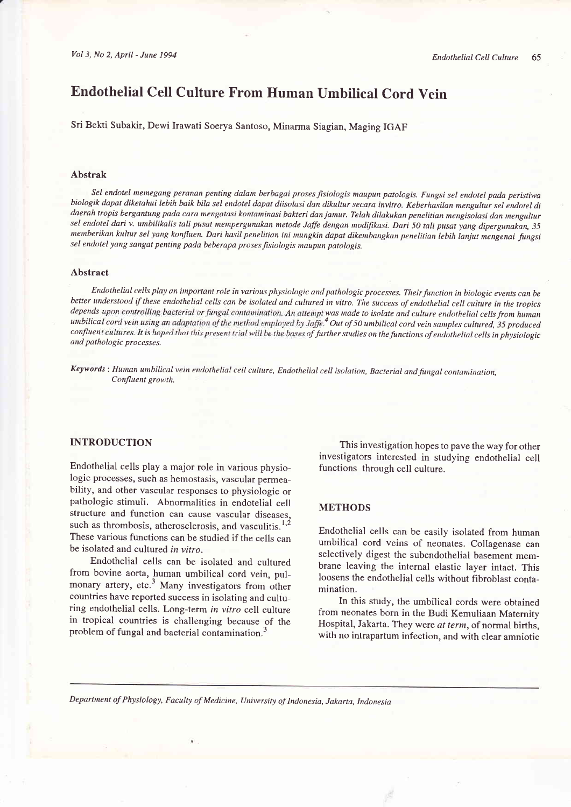# Endothelial Cell Culture From Human Umbilical Cord Vein

Sri Bekti Subakir, Dewi Irawati soerya Santoso, Minarma Siagian, Maging IGAF

#### Abstrak

Sel endotel memegang peranan penting dalam berbagai proses fisiologis maupun patologis. Fungsi sel endotel pada peristiwa biologik dapat diketahui lebih baik bila sel endotel dapat diisolasi dan dikultur secara invitro. Keberhasilan mengultur sel endotel di daerah tropis bergantung pada cara mengatasi kontaminasi bakteri dan jamur. Telah dilakukan penelitian mengisolasi dan mengultur sel endotel dari v. umbilikalis tali pusat mempergunakan metode Jaffe dengan modifikasi. Dari 50 tali pusat yang dipergunakan, 35 memberikan kultur sel yang konfluen. Dari hasil penelitian ini mungkin dapat dikembangkan penelitian lebih lanjut mengenai fungsi<br>sel endotel yang sangat penting pada beberapa proses fisiologis maupun patologis.

#### Abstract

Endothelial cells play an important role in various physiologic and pathologic processes. Their function in biologic events can be<br>better understood if these endothelial cells can be isolated and cultured in vitro. The suc depends upon controlling bacterial or fungal contamination. An attempt was made to isolate and culture endothelial cells from human<br>umbilical cord vein using an adaptation of the method employed by Jaffe.<sup>4</sup> Out of 50 umbi and pathologic processes.

Keywords : Human umbilical vein endothelial cell culture, Endothelial cell isolation, Bacterial and fungal contamination, Confluent growth.

## INTRODUCTION

Endothelial cells play a major role in various physiologic processes, such as hemostasis, vascular permeability, and other vascular responses to physiologic or pathologic stimuli, Abnormalities in endotelial cell structure and function can cause vascular diseases, such as thrombosis, atherosclerosis, and vasculitis.<sup>1,2</sup> These various functions can be studied if the cells can be isolated and cultured in vitro.

Endothelial cells can be isolated and cultured from bovine aorta, human umbilical cord vein, pulmonary artery, etc. $3$  Many investigators from other countries have reported success in isolating and culturing endothelial cells. Long-term in vitro cell culture in tropical countries is challenging because of the problem of fungal and bacterial contamination.<sup>3</sup>

This investigation hopes to pave the way for other investigators interested in studying endothelial cell functions through cell culture.

## METHODS

Endothelial cells can be easily isolated from human umbilical cord veins of neonates. Collagenase can selectively digest the subendothelial basement membrane leaving the internal elastic layer intact, This loosens the endothelial cells without fibroblast contamination.

In this study, the umbilical cords were obtained from neonates born in the Budi Kemuliaan Maternity Hospital, Jakarta. They were at term, of normal births, with no intrapartum infection, and with clear amniotic

Department of Physiology, Faculty of Medicine, University of Indonesia, Jakarta, Indonesia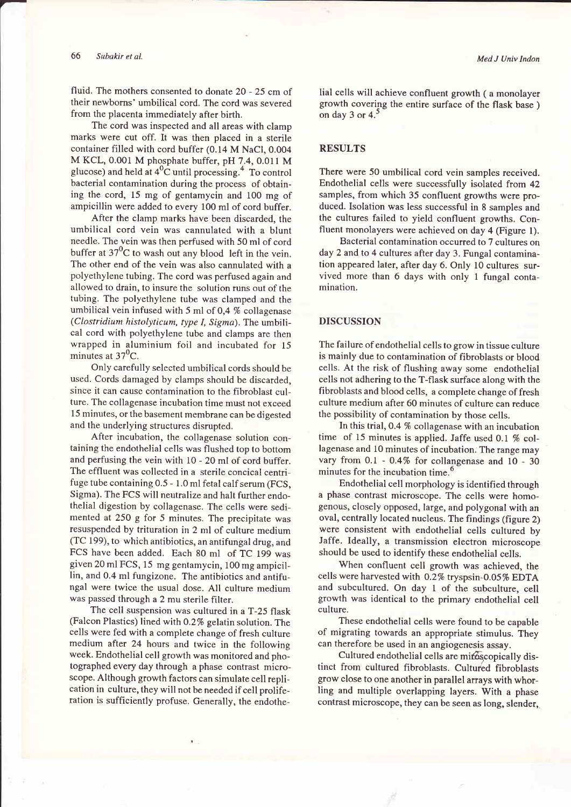fluid. The mothers consented to donate 20 - 25 cm of their newborns' umbilical cord. The cord was severed from the placenta immediately after birth.

The cord was inspected and all areas with clamp marks were cut off. It was then placed in a sterile container filled with cord buffer (0.14 M NaCl, 0.004 M KCL, 0.001 M phosphate buffer, pH 7.4, 0.011 M glucose) and held at  $4^0$ C until processing.<sup>4</sup> To control bacterial contamination during the process of obtaining the cord, 15 mg of gentamycin and 100 mg of ampicillin were added to every 100 ml of cord buffer.

After the clamp marks have been discarded, the umbilical cord vein was cannulated with a blunt needle. The vein was then perfused with 50 ml of cord buffer at  $37^0C$  to wash out any blood left in the vein. The other end of the vein was also cannulated with <sup>a</sup> polyethylene tubing. The cord was perfused again and allowed to drain, to insure the solution runs out of the tubing. The polyethylene tube was clamped and the umbilical vein infused with 5 ml of 0,4 % collagenase (Clostridium histolyticum, type I, Sigma). The umbilical cord with polyethylene tube and clamps are then wrapped in aluminium foil and incubated for l5 minutes at  $37^{\circ}$ C.

Only carefully selected umbilical cords should be used. Cords damaged by clamps should be discarded, since it can cause contamination to the fibroblast culture. The collagenase incubation time must not exceed 15 minutes, or the basement membrane can be digested and the underlying structures disrupted.

After incubation, the collagenase solution containing the endothelial cells was flushed top to bottom and perfusing the vein with l0 - 20 ml of cord buffer. The effluent was collected in a sterile concical centrifuge tube containing 0.5 - I .0 ml fetal calf serum (FCS, Sigma). The FCS will neutralize and halt further endothelial digestion by collagenase. The cells were sedimented at 250 g for 5 minutes. The precipitate was resuspended by trituration in 2 ml of culture medium (TC 199), to which antibiotics, an antifungal drug, and FCS have been added. Each 80 ml of TC 199 was given 20 ml FCS, 15 mg gentamycin, 100 mg ampicillin, and 0.4 ml fungizone. The antibiotics and antifungal were twice the usual dose. All culture medium was passed through a 2 mu sterile filter.

The cell suspension was cultured in a T-25 flask (Falcon Plastics) lined with 0.2% gelatin solution. The cells were fed with a complete change of fresh culture medium after 24 hours and twice in the following week. Endothelial cell growth was monitored and photographed every day through a phase contrast microscope. Although growth factors can simulate cell replication in culture, they will not be needed if cell proliferation is sufficiently profuse. Generally, the endothe-

lial cells will achieve confluent growth ( a monolayer growth covering the entire surface of the flask base ) on day 3 or 4. $^5$ 

# **RESULTS**

There were 50 umbilical cord vein samples received. Endothelial cells were successfully isolated from 42 samples, from which 35 confluent growths were produced. Isolation was less successful in 8 samples and the cultures failed to yield confluent growths. Confluent monolayers were achieved on day 4 (Figure l).

Bacterial contamination occurred to 7 cultures on day 2 and to 4 cultures after day 3. Fungal contamination appeared later, after day 6. Only 10 cultures survived more than 6 days with only 1 fungal contamination.

# DISCUSSION

The failure of endothelial cells to grow in tissue culture is mainly due to contamination of fibroblasts or blood cells. At the risk of flushing away some endothelial cells not adhering to the T-flask surface along with the fibroblasts and blood cells, a complete change of fresh culture medium after 60 minutes of culture can reduce the possibility of contamination by those cells.

In this trial,0.4 % collagenase with an incubation time of 15 minutes is applied. Jaffe used 0.1  $%$  collagenase and 10 minutes of incubation; The range may vary from 0.1 - 0.4% for collangenase and 10 - 30 minutes for the incubation time.<sup>6</sup>

Endothelial cell morphology is identified through a phase contrast microscope. The cells were homogenous, closely opposed, large, and polygonal with an oval, centrally located nucleus. The findings (figure 2) were consistent with endothelial cells cultured by Jaffe. Ideally, a transmission electron microscope should be used to identify these endothelial cells.

When confluent cell growth was achieved, the cells were harvested with 0.2% tryspsin-0.05% EDTA and subcultured. On day I of the subculture, cell growth was identical to the primary endothelial cell culture.

These endothelial cells were found to be capable of migrating towards an appropriate stimulus. They can therefore be used in an angiogenesis assay.

Cultured endothelial cells are miroscopically distinct from cultured fibroblasts. Cultured fibroblasts grow close to one another in parallel arrays with whorling and multiple overlapping layers. With a phase contrast microscope, they can be seen as long, slender,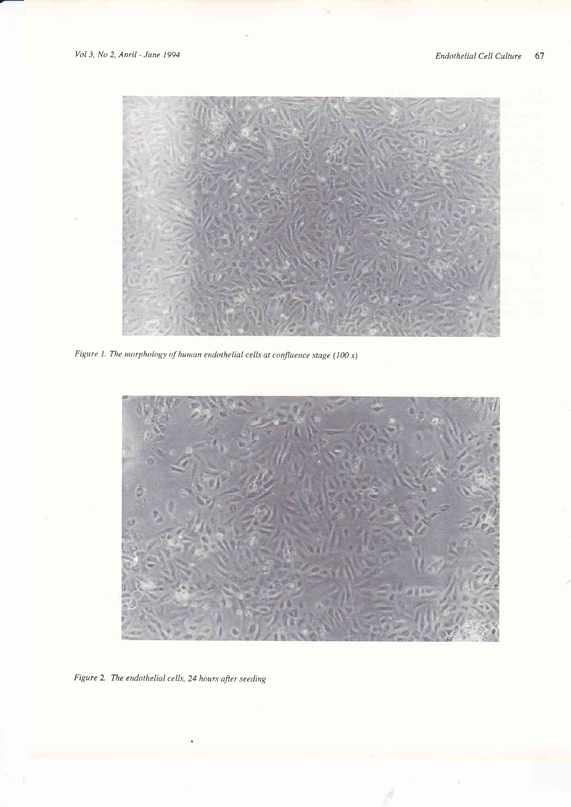

Figure 1. The morphology of human endothelial cells at confluence stage (100  $x$ )



Figure 2. The endothelial cells, 24 hours after seeding